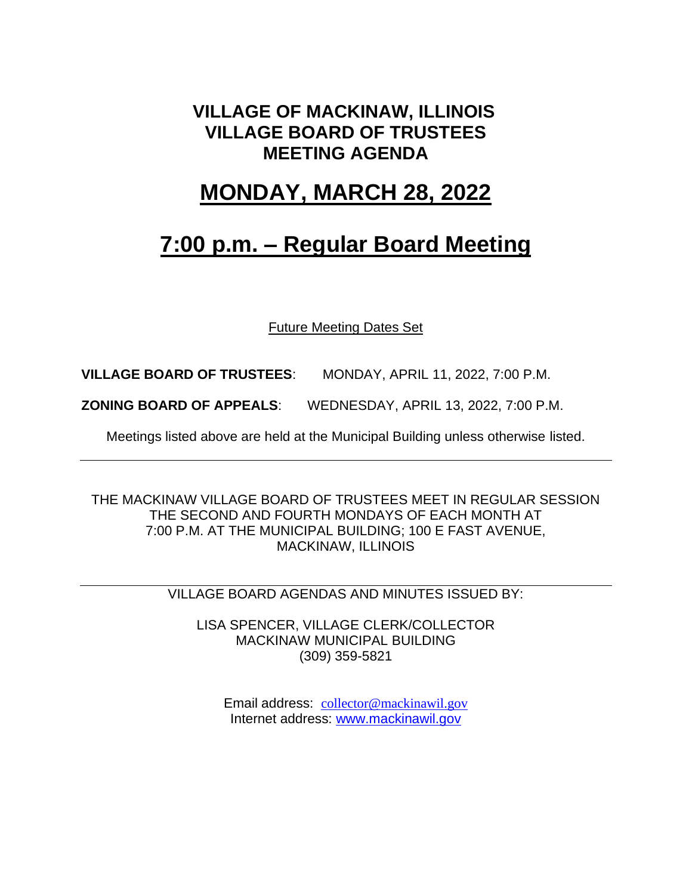### **VILLAGE OF MACKINAW, ILLINOIS VILLAGE BOARD OF TRUSTEES MEETING AGENDA**

### **MONDAY, MARCH 28, 2022**

## **7:00 p.m. – Regular Board Meeting**

Future Meeting Dates Set

**VILLAGE BOARD OF TRUSTEES**: MONDAY, APRIL 11, 2022, 7:00 P.M.

**ZONING BOARD OF APPEALS**: WEDNESDAY, APRIL 13, 2022, 7:00 P.M.

Meetings listed above are held at the Municipal Building unless otherwise listed.

THE MACKINAW VILLAGE BOARD OF TRUSTEES MEET IN REGULAR SESSION THE SECOND AND FOURTH MONDAYS OF EACH MONTH AT 7:00 P.M. AT THE MUNICIPAL BUILDING; 100 E FAST AVENUE, MACKINAW, ILLINOIS

VILLAGE BOARD AGENDAS AND MINUTES ISSUED BY:

LISA SPENCER, VILLAGE CLERK/COLLECTOR MACKINAW MUNICIPAL BUILDING (309) 359-5821

Email address: [collector@mackinawil.gov](mailto:collector@mackinawil.gov) Internet address: [www.mackinawil.gov](http://www.mackinawil.gov/)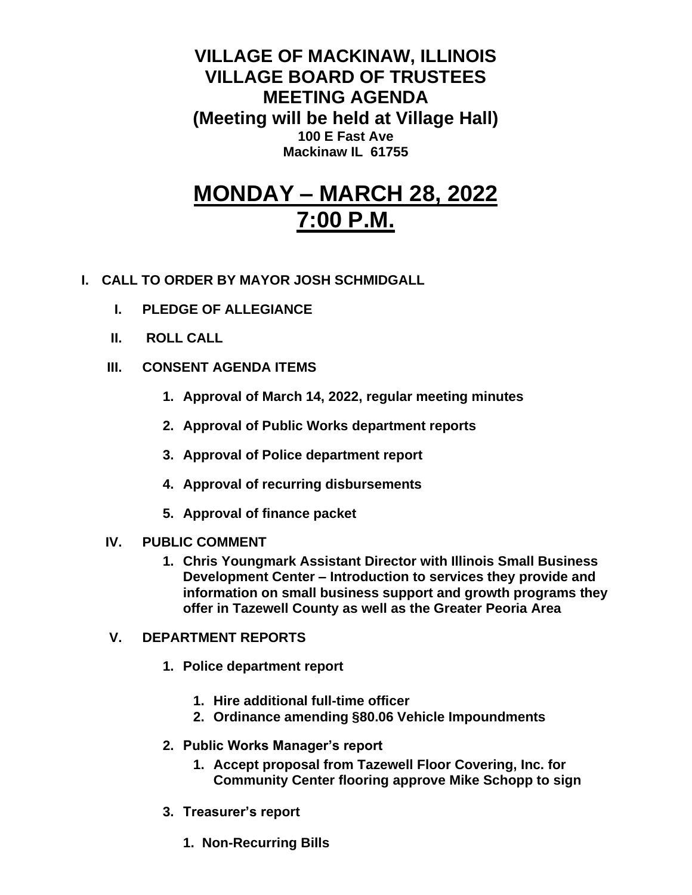**VILLAGE OF MACKINAW, ILLINOIS VILLAGE BOARD OF TRUSTEES MEETING AGENDA (Meeting will be held at Village Hall) 100 E Fast Ave Mackinaw IL 61755**

# **MONDAY – MARCH 28, 2022 7:00 P.M.**

- **I. CALL TO ORDER BY MAYOR JOSH SCHMIDGALL**
	- **I. PLEDGE OF ALLEGIANCE**
	- **II. ROLL CALL**
	- **III. CONSENT AGENDA ITEMS** 
		- **1. Approval of March 14, 2022, regular meeting minutes**
		- **2. Approval of Public Works department reports**
		- **3. Approval of Police department report**
		- **4. Approval of recurring disbursements**
		- **5. Approval of finance packet**
	- **IV. PUBLIC COMMENT**
		- **1. Chris Youngmark Assistant Director with Illinois Small Business Development Center – Introduction to services they provide and information on small business support and growth programs they offer in Tazewell County as well as the Greater Peoria Area**
	- **V. DEPARTMENT REPORTS** 
		- **1. Police department report**
			- **1. Hire additional full-time officer**
			- **2. Ordinance amending §80.06 Vehicle Impoundments**
		- **2. Public Works Manager's report**
			- **1. Accept proposal from Tazewell Floor Covering, Inc. for Community Center flooring approve Mike Schopp to sign**
		- **3. Treasurer's report** 
			- **1. Non-Recurring Bills**